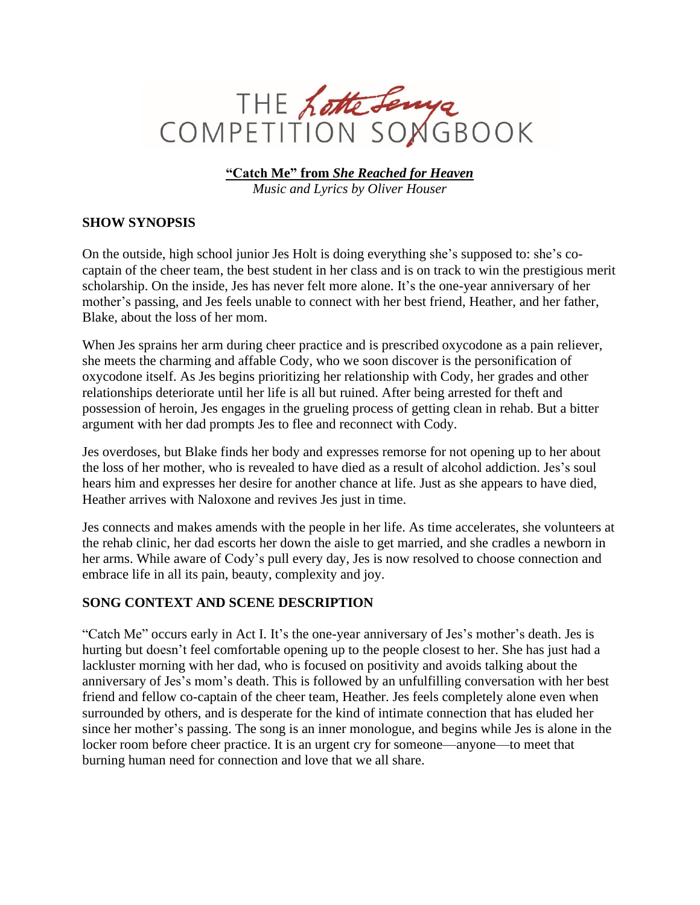

**"Catch Me" from** *She Reached for Heaven Music and Lyrics by Oliver Houser*

## **SHOW SYNOPSIS**

On the outside, high school junior Jes Holt is doing everything she's supposed to: she's cocaptain of the cheer team, the best student in her class and is on track to win the prestigious merit scholarship. On the inside, Jes has never felt more alone. It's the one-year anniversary of her mother's passing, and Jes feels unable to connect with her best friend, Heather, and her father, Blake, about the loss of her mom.

When Jes sprains her arm during cheer practice and is prescribed oxycodone as a pain reliever, she meets the charming and affable Cody, who we soon discover is the personification of oxycodone itself. As Jes begins prioritizing her relationship with Cody, her grades and other relationships deteriorate until her life is all but ruined. After being arrested for theft and possession of heroin, Jes engages in the grueling process of getting clean in rehab. But a bitter argument with her dad prompts Jes to flee and reconnect with Cody.

Jes overdoses, but Blake finds her body and expresses remorse for not opening up to her about the loss of her mother, who is revealed to have died as a result of alcohol addiction. Jes's soul hears him and expresses her desire for another chance at life. Just as she appears to have died, Heather arrives with Naloxone and revives Jes just in time.

Jes connects and makes amends with the people in her life. As time accelerates, she volunteers at the rehab clinic, her dad escorts her down the aisle to get married, and she cradles a newborn in her arms. While aware of Cody's pull every day, Jes is now resolved to choose connection and embrace life in all its pain, beauty, complexity and joy.

## **SONG CONTEXT AND SCENE DESCRIPTION**

"Catch Me" occurs early in Act I. It's the one-year anniversary of Jes's mother's death. Jes is hurting but doesn't feel comfortable opening up to the people closest to her. She has just had a lackluster morning with her dad, who is focused on positivity and avoids talking about the anniversary of Jes's mom's death. This is followed by an unfulfilling conversation with her best friend and fellow co-captain of the cheer team, Heather. Jes feels completely alone even when surrounded by others, and is desperate for the kind of intimate connection that has eluded her since her mother's passing. The song is an inner monologue, and begins while Jes is alone in the locker room before cheer practice. It is an urgent cry for someone—anyone—to meet that burning human need for connection and love that we all share.